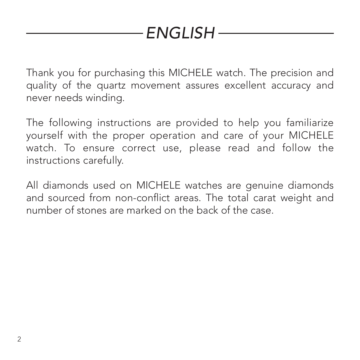# *ENGLISH*

Thank you for purchasing this MICHELE watch. The precision and quality of the quartz movement assures excellent accuracy and never needs winding.

The following instructions are provided to help you familiarize yourself with the proper operation and care of your MICHELE watch. To ensure correct use, please read and follow the instructions carefully.

All diamonds used on MICHELE watches are genuine diamonds and sourced from non-conflict areas. The total carat weight and number of stones are marked on the back of the case.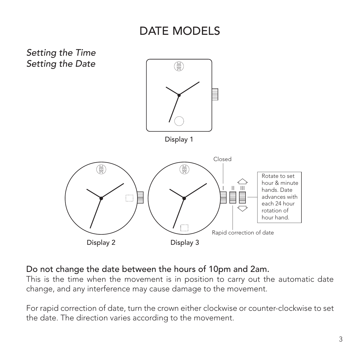### DATE MODELS



#### Do not change the date between the hours of 10pm and 2am.

This is the time when the movement is in position to carry out the automatic date change, and any interference may cause damage to the movement.

For rapid correction of date, turn the crown either clockwise or counter-clockwise to set the date. The direction varies according to the movement.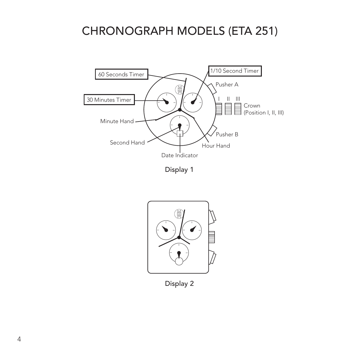### CHRONOGRAPH MODELS (ETA 251)



Display 1



Display 2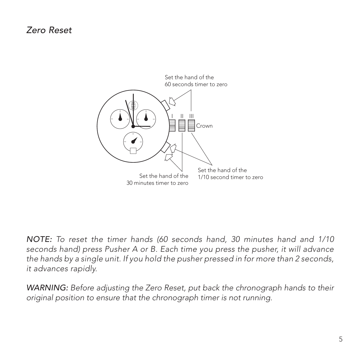#### *Zero Reset*



*NOTE: To reset the timer hands (60 seconds hand, 30 minutes hand and 1/10 seconds hand) press Pusher A or B. Each time you press the pusher, it will advance the hands by a single unit. If you hold the pusher pressed in for more than 2 seconds, it advances rapidly.*

*WARNING: Before adjusting the Zero Reset, put back the chronograph hands to their original position to ensure that the chronograph timer is not running.*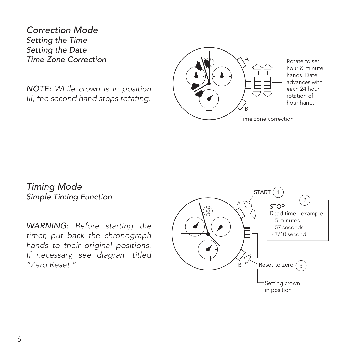*Correction Mode Setting the Time Setting the Date Time Zone Correction*

*NOTE: While crown is in position III, the second hand stops rotating.*



*Timing Mode Simple Timing Function*

*WARNING: Before starting the timer, put back the chronograph hands to their original positions. If necessary, see diagram titled "Zero Reset."*

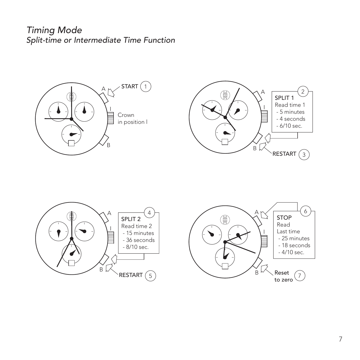*Timing Mode Split-time or Intermediate Time Function*







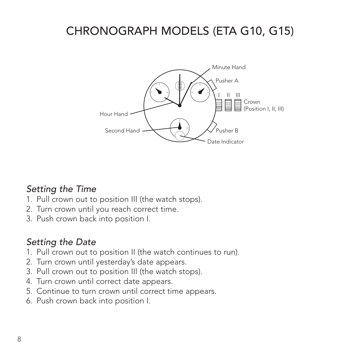# CHRONOGRAPH MODELS (ETA G10, G15)



#### *Setting the Time*

- 1. Pull crown out to position III (the watch stops).
- 2. Turn crown until you reach correct time.
- 3. Push crown back into position I.

### *Setting the Date*

- 1. Pull crown out to position II (the watch continues to run).
- 2. Turn crown until yesterday's date appears.
- 3. Pull crown out to position III (the watch stops).
- 4. Turn crown until correct date appears.
- 5. Continue to turn crown until correct time appears.
- 6. Push crown back into position I.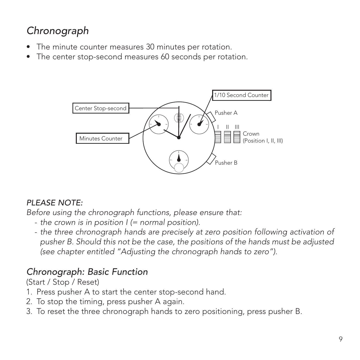# *Chronograph*

- The minute counter measures 30 minutes per rotation.
- The center stop-second measures 60 seconds per rotation.



#### *PLEASE NOTE:*

*Before using the chronograph functions, please ensure that:*

- *- the crown is in position I (= normal position).*
- *- the three chronograph hands are precisely at zero position following activation of pusher B. Should this not be the case, the positions of the hands must be adjusted (see chapter entitled "Adjusting the chronograph hands to zero").*

### *Chronograph: Basic Function*

(Start / Stop / Reset)

- 1. Press pusher A to start the center stop-second hand.
- 2. To stop the timing, press pusher A again.
- 3. To reset the three chronograph hands to zero positioning, press pusher B.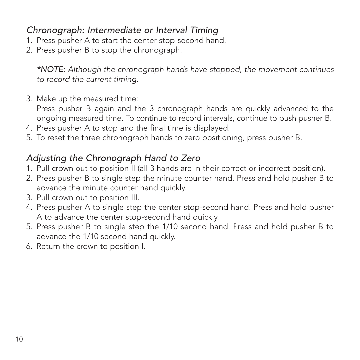### *Chronograph: Intermediate or Interval Timing*

- 1. Press pusher A to start the center stop-second hand.
- 2. Press pusher B to stop the chronograph.

*\*NOTE: Although the chronograph hands have stopped, the movement continues to record the current timing.*

3. Make up the measured time:

Press pusher B again and the 3 chronograph hands are quickly advanced to the ongoing measured time. To continue to record intervals, continue to push pusher B.

- 4. Press pusher A to stop and the final time is displayed.
- 5. To reset the three chronograph hands to zero positioning, press pusher B.

### *Adjusting the Chronograph Hand to Zero*

- 1. Pull crown out to position II (all 3 hands are in their correct or incorrect position).
- 2. Press pusher B to single step the minute counter hand. Press and hold pusher B to advance the minute counter hand quickly.
- 3. Pull crown out to position III.
- 4. Press pusher A to single step the center stop-second hand. Press and hold pusher A to advance the center stop-second hand quickly.
- 5. Press pusher B to single step the 1/10 second hand. Press and hold pusher B to advance the 1/10 second hand quickly.
- 6. Return the crown to position I.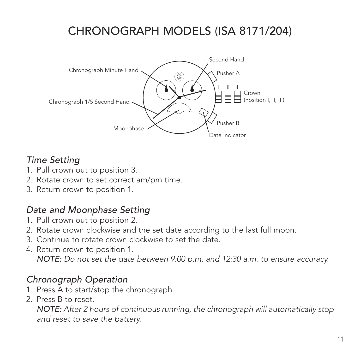# CHRONOGRAPH MODELS (ISA 8171/204)



### *Time Setting*

- 1. Pull crown out to position 3.
- 2. Rotate crown to set correct am/pm time.
- 3. Return crown to position 1.

### *Date and Moonphase Setting*

- 1. Pull crown out to position 2.
- 2. Rotate crown clockwise and the set date according to the last full moon.
- 3. Continue to rotate crown clockwise to set the date.
- 4. Return crown to position 1. *NOTE: Do not set the date between 9:00 p.m. and 12:30 a.m. to ensure accuracy.*

#### *Chronograph Operation*

- 1. Press A to start/stop the chronograph.
- 2. Press B to reset.

*NOTE: After 2 hours of continuous running, the chronograph will automatically stop and reset to save the battery.*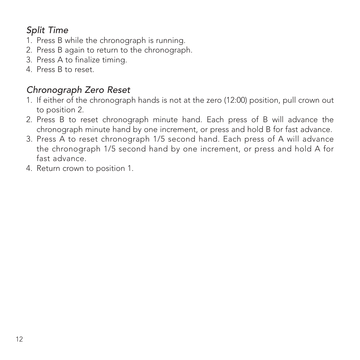### *Split Time*

- 1. Press B while the chronograph is running.
- 2. Press B again to return to the chronograph.
- 3. Press A to finalize timing.
- 4. Press B to reset.

#### *Chronograph Zero Reset*

- 1. If either of the chronograph hands is not at the zero (12:00) position, pull crown out to position 2.
- 2. Press B to reset chronograph minute hand. Each press of B will advance the chronograph minute hand by one increment, or press and hold B for fast advance.
- 3. Press A to reset chronograph 1/5 second hand. Each press of A will advance the chronograph 1/5 second hand by one increment, or press and hold A for fast advance.
- 4. Return crown to position 1.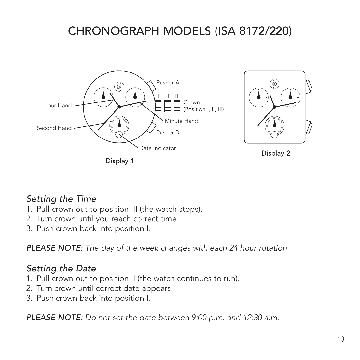# CHRONOGRAPH MODELS (ISA 8172/220)



Display 1

<sup>W</sup> D<sup>E</sup> Display 2

<sup>S</sup>U<sup>N</sup> <sup>M</sup>O<sup>N</sup>

HT U FRI SAT

### *Setting the Time*

- 1. Pull crown out to position III (the watch stops).
- 2. Turn crown until you reach correct time.
- 3. Push crown back into position I.

*PLEASE NOTE: The day of the week changes with each 24 hour rotation.*

### *Setting the Date*

- 1. Pull crown out to position II (the watch continues to run).
- 2. Turn crown until correct date appears.
- 3. Push crown back into position I.

*PLEASE NOTE: Do not set the date between 9:00 p.m. and 12:30 a.m.*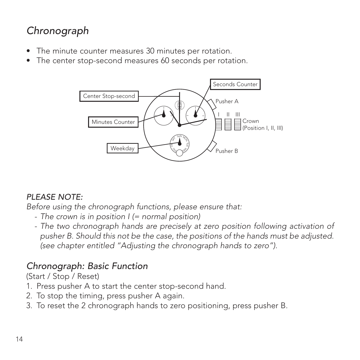### *Chronograph*

- The minute counter measures 30 minutes per rotation.
- The center stop-second measures 60 seconds per rotation.



#### *PLEASE NOTE:*

*Before using the chronograph functions, please ensure that:*

- *- The crown is in position I (= normal position)*
- The two chronograph hands are precisely at zero position following activation of *pusher B. Should this not be the case, the positions of the hands must be adjusted. (see chapter entitled "Adjusting the chronograph hands to zero").*

#### *Chronograph: Basic Function*

(Start / Stop / Reset)

- 1. Press pusher A to start the center stop-second hand.
- 2. To stop the timing, press pusher A again.
- 3. To reset the 2 chronograph hands to zero positioning, press pusher B.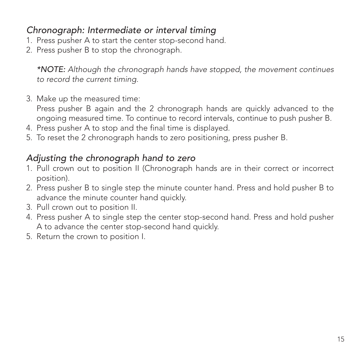### *Chronograph: Intermediate or interval timing*

- 1. Press pusher A to start the center stop-second hand.
- 2. Press pusher B to stop the chronograph.

*\*NOTE: Although the chronograph hands have stopped, the movement continues to record the current timing.*

3. Make up the measured time:

Press pusher B again and the 2 chronograph hands are quickly advanced to the ongoing measured time. To continue to record intervals, continue to push pusher B.

- 4. Press pusher A to stop and the final time is displayed.
- 5. To reset the 2 chronograph hands to zero positioning, press pusher B.

### *Adjusting the chronograph hand to zero*

- 1. Pull crown out to position II (Chronograph hands are in their correct or incorrect position).
- 2. Press pusher B to single step the minute counter hand. Press and hold pusher B to advance the minute counter hand quickly.
- 3. Pull crown out to position II.
- 4. Press pusher A to single step the center stop-second hand. Press and hold pusher A to advance the center stop-second hand quickly.
- 5. Return the crown to position I.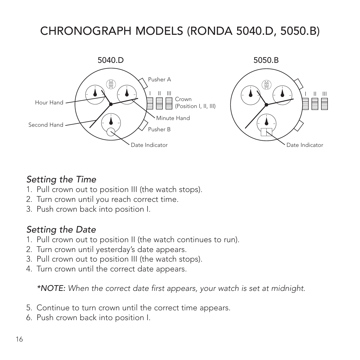# CHRONOGRAPH MODELS (RONDA 5040.D, 5050.B)



#### *Setting the Time*

- 1. Pull crown out to position III (the watch stops).
- 2. Turn crown until you reach correct time.
- 3. Push crown back into position I.

### *Setting the Date*

- 1. Pull crown out to position II (the watch continues to run).
- 2. Turn crown until yesterday's date appears.
- 3. Pull crown out to position III (the watch stops).
- 4. Turn crown until the correct date appears.

*\*NOTE: When the correct date first appears, your watch is set at midnight.*

- 5. Continue to turn crown until the correct time appears.
- 6. Push crown back into position I.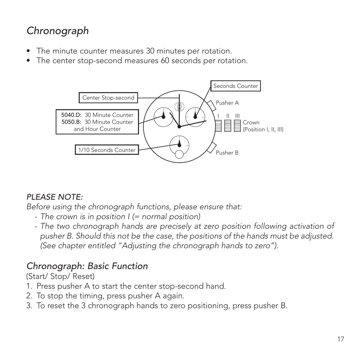### *Chronograph*

- The minute counter measures 30 minutes per rotation.
- The center stop-second measures 60 seconds per rotation.



#### *PLEASE NOTE:*

*Before using the chronograph functions, please ensure that:*

- *- The crown is in position I (= normal position)*
- The two chronograph hands are precisely at zero position following activation of *pusher B. Should this not be the case, the positions of the hands must be adjusted. (See chapter entitled "Adjusting the chronograph hands to zero").*

### *Chronograph: Basic Function*

(Start/ Stop/ Reset)

- 1. Press pusher A to start the center stop-second hand.
- 2. To stop the timing, press pusher A again.
- 3. To reset the 3 chronograph hands to zero positioning, press pusher B.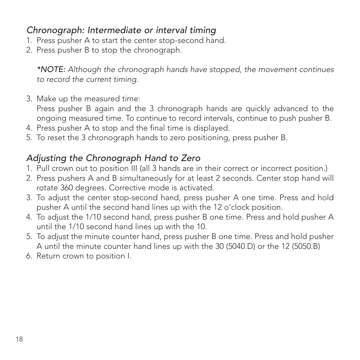### *Chronograph: Intermediate or interval timing*

- 1. Press pusher A to start the center stop-second hand.
- 2. Press pusher B to stop the chronograph.

*\*NOTE: Although the chronograph hands have stopped, the movement continues to record the current timing.*

3. Make up the measured time:

Press pusher B again and the 3 chronograph hands are quickly advanced to the ongoing measured time. To continue to record intervals, continue to push pusher B.

- 4. Press pusher A to stop and the final time is displayed.
- 5. To reset the 3 chronograph hands to zero positioning, press pusher B.

### *Adjusting the Chronograph Hand to Zero*

- 1. Pull crown out to position III (all 3 hands are in their correct or incorrect position.)
- 2. Press pushers A and B simultaneously for at least 2 seconds. Center stop hand will rotate 360 degrees. Corrective mode is activated.
- 3. To adjust the center stop-second hand, press pusher A one time. Press and hold pusher A until the second hand lines up with the 12 o'clock position.
- 4. To adjust the 1/10 second hand, press pusher B one time. Press and hold pusher A until the 1/10 second hand lines up with the 10.
- 5. To adjust the minute counter hand, press pusher B one time. Press and hold pusher A until the minute counter hand lines up with the 30 (5040.D) or the 12 (5050.B)
- 6. Return crown to position I.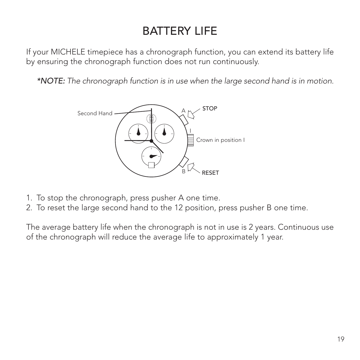# BATTERY LIFE

If your MICHELE timepiece has a chronograph function, you can extend its battery life by ensuring the chronograph function does not run continuously.

*\*NOTE: The chronograph function is in use when the large second hand is in motion.*



- 1. To stop the chronograph, press pusher A one time.
- 2. To reset the large second hand to the 12 position, press pusher B one time.

The average battery life when the chronograph is not in use is 2 years. Continuous use of the chronograph will reduce the average life to approximately 1 year.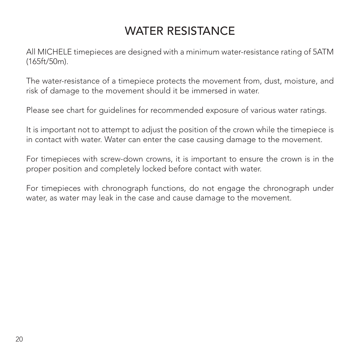# WATER RESISTANCE

All MICHELE timepieces are designed with a minimum water-resistance rating of 5ATM (165ft/50m).

The water-resistance of a timepiece protects the movement from, dust, moisture, and risk of damage to the movement should it be immersed in water.

Please see chart for guidelines for recommended exposure of various water ratings.

It is important not to attempt to adjust the position of the crown while the timepiece is in contact with water. Water can enter the case causing damage to the movement.

For timepieces with screw-down crowns, it is important to ensure the crown is in the proper position and completely locked before contact with water.

For timepieces with chronograph functions, do not engage the chronograph under water, as water may leak in the case and cause damage to the movement.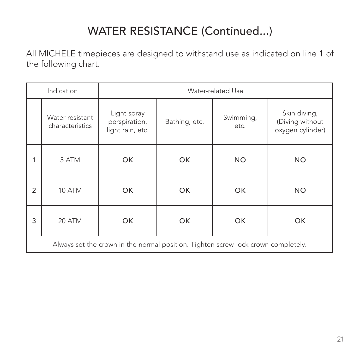# WATER RESISTANCE (Continued...)

All MICHELE timepieces are designed to withstand use as indicated on line 1 of the following chart.

| Indication                                                                        |                                    | Water-related Use                                |               |                   |                                                     |
|-----------------------------------------------------------------------------------|------------------------------------|--------------------------------------------------|---------------|-------------------|-----------------------------------------------------|
|                                                                                   | Water-resistant<br>characteristics | Light spray<br>perspiration,<br>light rain, etc. | Bathing, etc. | Swimming,<br>etc. | Skin diving,<br>(Diving without<br>oxygen cylinder) |
| 1                                                                                 | 5 ATM                              | OK                                               | OK            | <b>NO</b>         | <b>NO</b>                                           |
| $\overline{2}$                                                                    | 10 ATM                             | OK                                               | OK            | OK                | <b>NO</b>                                           |
| 3                                                                                 | 20 ATM                             | OK                                               | OK.           | OK                | OK                                                  |
| Always set the crown in the normal position. Tighten screw-lock crown completely. |                                    |                                                  |               |                   |                                                     |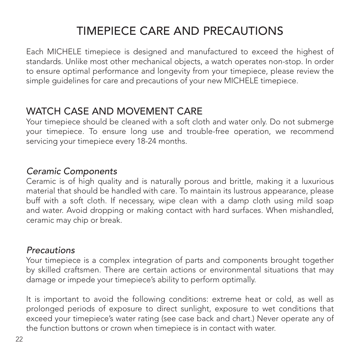# TIMEPIECE CARE AND PRECAUTIONS

Each MICHELE timepiece is designed and manufactured to exceed the highest of standards. Unlike most other mechanical objects, a watch operates non-stop. In order to ensure optimal performance and longevity from your timepiece, please review the simple guidelines for care and precautions of your new MICHELE timepiece.

### WATCH CASE AND MOVEMENT CARE

Your timepiece should be cleaned with a soft cloth and water only. Do not submerge your timepiece. To ensure long use and trouble-free operation, we recommend servicing your timepiece every 18-24 months.

#### *Ceramic Components*

Ceramic is of high quality and is naturally porous and brittle, making it a luxurious material that should be handled with care. To maintain its lustrous appearance, please buff with a soft cloth. If necessary, wipe clean with a damp cloth using mild soap and water. Avoid dropping or making contact with hard surfaces. When mishandled, ceramic may chip or break.

#### *Precautions*

Your timepiece is a complex integration of parts and components brought together by skilled craftsmen. There are certain actions or environmental situations that may damage or impede your timepiece's ability to perform optimally.

It is important to avoid the following conditions: extreme heat or cold, as well as prolonged periods of exposure to direct sunlight, exposure to wet conditions that exceed your timepiece's water rating (see case back and chart.) Never operate any of the function buttons or crown when timepiece is in contact with water.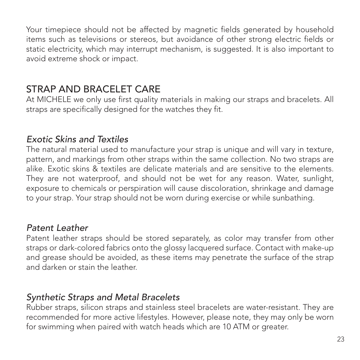Your timepiece should not be affected by magnetic fields generated by household items such as televisions or stereos, but avoidance of other strong electric fields or static electricity, which may interrupt mechanism, is suggested. It is also important to avoid extreme shock or impact.

### STRAP AND BRACELET CARE

At MICHELE we only use first quality materials in making our straps and bracelets. All straps are specifically designed for the watches they fit.

#### *Exotic Skins and Textiles*

The natural material used to manufacture your strap is unique and will vary in texture, pattern, and markings from other straps within the same collection. No two straps are alike. Exotic skins & textiles are delicate materials and are sensitive to the elements. They are not waterproof, and should not be wet for any reason. Water, sunlight, exposure to chemicals or perspiration will cause discoloration, shrinkage and damage to your strap. Your strap should not be worn during exercise or while sunbathing.

#### *Patent Leather*

Patent leather straps should be stored separately, as color may transfer from other straps or dark-colored fabrics onto the glossy lacquered surface. Contact with make-up and grease should be avoided, as these items may penetrate the surface of the strap and darken or stain the leather.

#### *Synthetic Straps and Metal Bracelets*

Rubber straps, silicon straps and stainless steel bracelets are water-resistant. They are recommended for more active lifestyles. However, please note, they may only be worn for swimming when paired with watch heads which are 10 ATM or greater.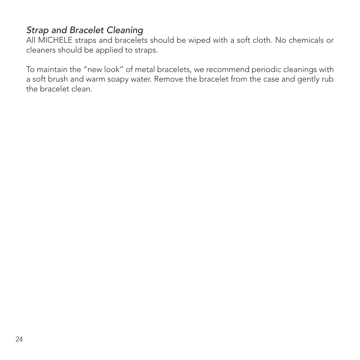### *Strap and Bracelet Cleaning*

All MICHELE straps and bracelets should be wiped with a soft cloth. No chemicals or cleaners should be applied to straps.

To maintain the "new look" of metal bracelets, we recommend periodic cleanings with a soft brush and warm soapy water. Remove the bracelet from the case and gently rub the bracelet clean.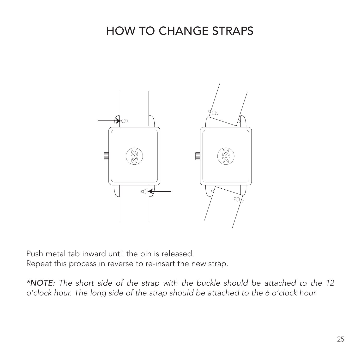### HOW TO CHANGE STRAPS



Push metal tab inward until the pin is released.

Repeat this process in reverse to re-insert the new strap.

*\*NOTE: The short side of the strap with the buckle should be attached to the 12 o'clock hour. The long side of the strap should be attached to the 6 o'clock hour.*